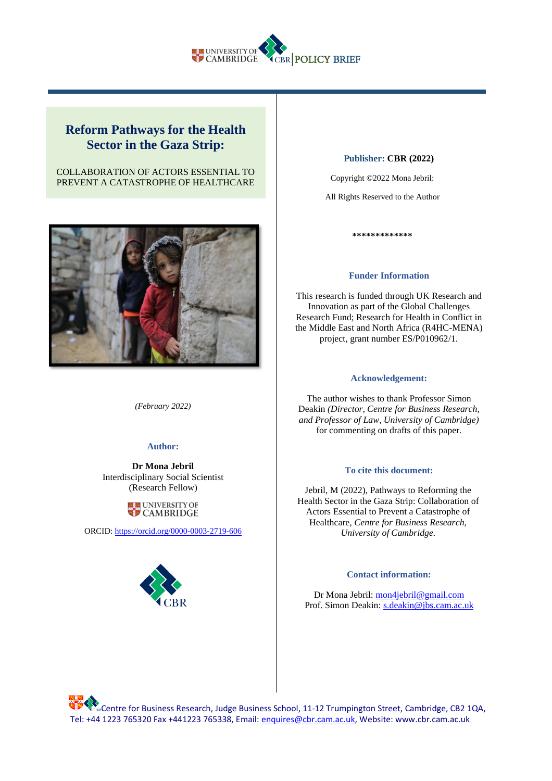

# **Reform Pathways for the Health Sector in the Gaza Strip:**

# COLLABORATION OF ACTORS ESSENTIAL TO PREVENT A CATASTROPHE OF HEALTHCARE



*(February 2022)*

# **Author:**

**Dr Mona Jebril**  Interdisciplinary Social Scientist (Research Fellow)



ORCID:<https://orcid.org/0000-0003-2719-606>



#### **Publisher: CBR (2022)**

Copyright ©2022 Mona Jebril:

All Rights Reserved to the Author

**\*\*\*\*\*\*\*\*\*\*\*\*\***

#### **Funder Information**

This research is funded through UK Research and Innovation as part of the Global Challenges Research Fund; Research for Health in Conflict in the Middle East and North Africa (R4HC-MENA) project, grant number ES/P010962/1.

#### **Acknowledgement:**

The author wishes to thank Professor Simon Deakin *(Director, Centre for Business Research, and Professor of Law, University of Cambridge)* for commenting on drafts of this paper.

### **To cite this document:**

Jebril, M (2022), Pathways to Reforming the Health Sector in the Gaza Strip: Collaboration of Actors Essential to Prevent a Catastrophe of Healthcare*, Centre for Business Research, University of Cambridge.*

### **Contact information:**

Dr Mona Jebril[: mon4jebril@gmail.com](mailto:mon4jebril@gmail.com)  Prof. Simon Deakin: [s.deakin@jbs.cam.ac.uk](mailto:s.deakin@jbs.cam.ac.uk)

**SACERT FOR BUSINESS Research, Judge Business School, 11-12 Trumpington Street, Cambridge, CB2 1QA,** Tel: +44 1223 765320 Fax +441223 765338, Email: [enquires@cbr.cam.ac.uk,](mailto:enquires@cbr.cam.ac.uk) Website: www.cbr.cam.ac.uk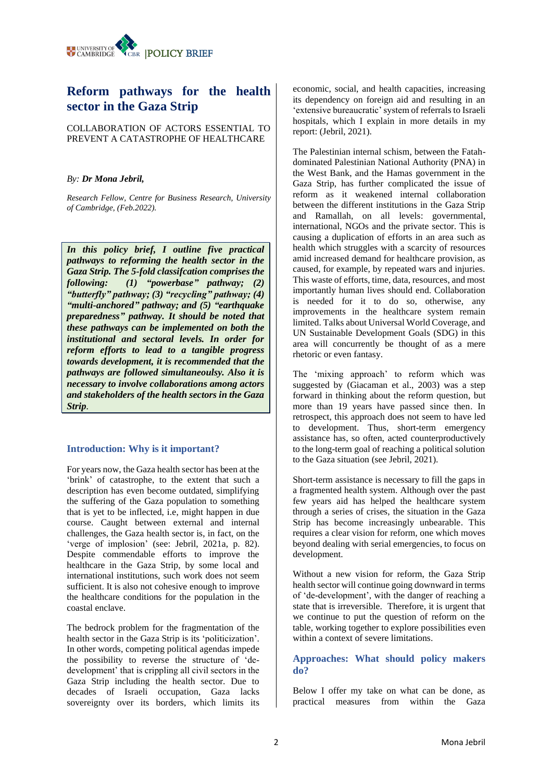

# **Reform pathways for the health sector in the Gaza Strip**

COLLABORATION OF ACTORS ESSENTIAL TO PREVENT A CATASTROPHE OF HEALTHCARE

# *By: Dr Mona Jebril,*

*Research Fellow, Centre for Business Research, University of Cambridge, (Feb.2022).*

*In this policy brief, I outline five practical pathways to reforming the health sector in the Gaza Strip. The 5-fold classifcation comprises the following: (1) "powerbase" pathway; (2) "butterfly" pathway; (3) "recycling" pathway; (4) "multi-anchored" pathway; and (5) "earthquake preparedness" pathway. It should be noted that these pathways can be implemented on both the institutional and sectoral levels. In order for reform efforts to lead to a tangible progress towards development, it is recommended that the pathways are followed simultaneoulsy. Also it is necessary to involve collaborations among actors and stakeholders of the health sectors in the Gaza Strip.* 

# **Introduction: Why is it important?**

For years now, the Gaza health sector has been at the 'brink' of catastrophe, to the extent that such a description has even become outdated, simplifying the suffering of the Gaza population to something that is yet to be inflected, i.e, might happen in due course. Caught between external and internal challenges, the Gaza health sector is, in fact, on the 'verge of implosion' (see: Jebril, 2021a, p. 82). Despite commendable efforts to improve the healthcare in the Gaza Strip, by some local and international institutions, such work does not seem sufficient. It is also not cohesive enough to improve the healthcare conditions for the population in the coastal enclave.

The bedrock problem for the fragmentation of the health sector in the Gaza Strip is its 'politicization'. In other words, competing political agendas impede the possibility to reverse the structure of 'dedevelopment' that is crippling all civil sectors in the Gaza Strip including the health sector. Due to decades of Israeli occupation, Gaza lacks sovereignty over its borders, which limits its

economic, social, and health capacities, increasing its dependency on foreign aid and resulting in an 'extensive bureaucratic' system of referrals to Israeli hospitals, which I explain in more details in my report: (Jebril, 2021).

The Palestinian internal schism, between the Fatahdominated Palestinian National Authority (PNA) in the West Bank, and the Hamas government in the Gaza Strip, has further complicated the issue of reform as it weakened internal collaboration between the different institutions in the Gaza Strip and Ramallah, on all levels: governmental, international, NGOs and the private sector. This is causing a duplication of efforts in an area such as health which struggles with a scarcity of resources amid increased demand for healthcare provision, as caused, for example, by repeated wars and injuries. This waste of efforts, time, data, resources, and most importantly human lives should end. Collaboration is needed for it to do so, otherwise, any improvements in the healthcare system remain limited. Talks about Universal World Coverage, and UN Sustainable Development Goals (SDG) in this area will concurrently be thought of as a mere rhetoric or even fantasy.

The 'mixing approach' to reform which was suggested by (Giacaman et al., 2003) was a step forward in thinking about the reform question, but more than 19 years have passed since then. In retrospect, this approach does not seem to have led to development. Thus, short-term emergency assistance has, so often, acted counterproductively to the long-term goal of reaching a political solution to the Gaza situation (see Jebril, 2021).

Short-term assistance is necessary to fill the gaps in a fragmented health system. Although over the past few years aid has helped the healthcare system through a series of crises, the situation in the Gaza Strip has become increasingly unbearable. This requires a clear vision for reform, one which moves beyond dealing with serial emergencies, to focus on development.

Without a new vision for reform, the Gaza Strip health sector will continue going downward in terms of 'de-development', with the danger of reaching a state that is irreversible. Therefore, it is urgent that we continue to put the question of reform on the table, working together to explore possibilities even within a context of severe limitations.

# **Approaches: What should policy makers do?**

Below I offer my take on what can be done, as practical measures from within the Gaza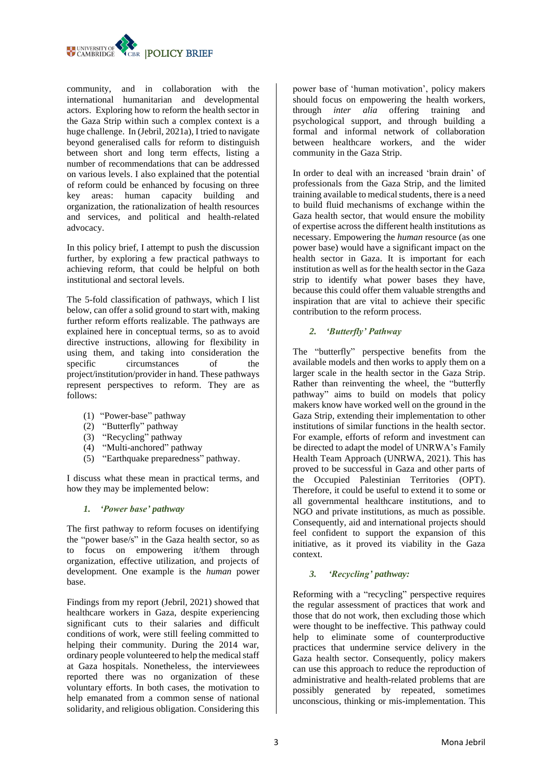

community, and in collaboration with the international humanitarian and developmental actors. Exploring how to reform the health sector in the Gaza Strip within such a complex context is a huge challenge. In (Jebril, 2021a), I tried to navigate beyond generalised calls for reform to distinguish between short and long term effects, listing a number of recommendations that can be addressed on various levels. I also explained that the potential of reform could be enhanced by focusing on three key areas: human capacity building and organization, the rationalization of health resources and services, and political and health-related advocacy.

In this policy brief, I attempt to push the discussion further, by exploring a few practical pathways to achieving reform, that could be helpful on both institutional and sectoral levels.

The 5-fold classification of pathways, which I list below, can offer a solid ground to start with, making further reform efforts realizable. The pathways are explained here in conceptual terms, so as to avoid directive instructions, allowing for flexibility in using them, and taking into consideration the specific circumstances of the project/institution/provider in hand. These pathways represent perspectives to reform. They are as follows:

- (1) "Power-base" pathway
- (2) "Butterfly" pathway
- (3) "Recycling" pathway
- (4) "Multi-anchored" pathway
- (5) "Earthquake preparedness" pathway.

I discuss what these mean in practical terms, and how they may be implemented below:

# *1. 'Power base' pathway*

The first pathway to reform focuses on identifying the "power base/s" in the Gaza health sector, so as to focus on empowering it/them through organization, effective utilization, and projects of development. One example is the *human* power base.

Findings from my report (Jebril, 2021) showed that healthcare workers in Gaza, despite experiencing significant cuts to their salaries and difficult conditions of work, were still feeling committed to helping their community. During the 2014 war, ordinary people volunteered to help the medical staff at Gaza hospitals. Nonetheless, the interviewees reported there was no organization of these voluntary efforts. In both cases, the motivation to help emanated from a common sense of national solidarity, and religious obligation. Considering this

power base of 'human motivation', policy makers should focus on empowering the health workers, through *inter alia* offering training and psychological support, and through building a formal and informal network of collaboration between healthcare workers, and the wider community in the Gaza Strip.

In order to deal with an increased 'brain drain' of professionals from the Gaza Strip, and the limited training available to medical students, there is a need to build fluid mechanisms of exchange within the Gaza health sector, that would ensure the mobility of expertise across the different health institutions as necessary. Empowering the *human* resource (as one power base) would have a significant impact on the health sector in Gaza. It is important for each institution as well as for the health sector in the Gaza strip to identify what power bases they have, because this could offer them valuable strengths and inspiration that are vital to achieve their specific contribution to the reform process.

# *2. 'Butterfly' Pathway*

The "butterfly" perspective benefits from the available models and then works to apply them on a larger scale in the health sector in the Gaza Strip. Rather than reinventing the wheel, the "butterfly pathway" aims to build on models that policy makers know have worked well on the ground in the Gaza Strip, extending their implementation to other institutions of similar functions in the health sector. For example, efforts of reform and investment can be directed to adapt the model of UNRWA's Family Health Team Approach (UNRWA, 2021). This has proved to be successful in Gaza and other parts of the Occupied Palestinian Territories (OPT). Therefore, it could be useful to extend it to some or all governmental healthcare institutions, and to NGO and private institutions, as much as possible. Consequently, aid and international projects should feel confident to support the expansion of this initiative, as it proved its viability in the Gaza context.

# *3. 'Recycling' pathway:*

Reforming with a "recycling" perspective requires the regular assessment of practices that work and those that do not work, then excluding those which were thought to be ineffective. This pathway could help to eliminate some of counterproductive practices that undermine service delivery in the Gaza health sector. Consequently, policy makers can use this approach to reduce the reproduction of administrative and health-related problems that are possibly generated by repeated, sometimes unconscious, thinking or mis-implementation. This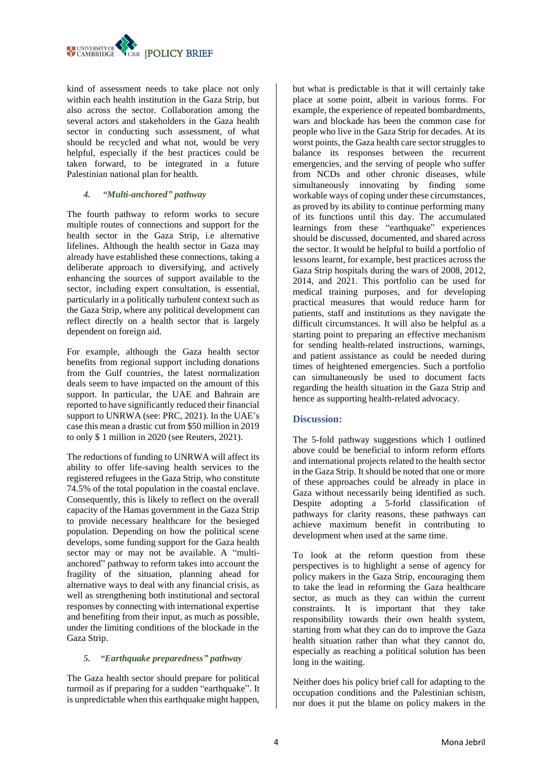

kind of assessment needs to take place not only within each health institution in the Gaza Strip, but also across the sector. Collaboration among the several actors and stakeholders in the Gaza health sector in conducting such assessment, of what should be recycled and what not, would be very helpful, especially if the best practices could be taken forward, to be integrated in a future Palestinian national plan for health.

# *4. "Multi-anchored" pathway*

The fourth pathway to reform works to secure multiple routes of connections and support for the health sector in the Gaza Strip, i.e alternative lifelines. Although the health sector in Gaza may already have established these connections, taking a deliberate approach to diversifying, and actively enhancing the sources of support available to the sector, including expert consultation, is essential, particularly in a politically turbulent context such as the Gaza Strip, where any political development can reflect directly on a health sector that is largely dependent on foreign aid.

For example, although the Gaza health sector benefits from regional support including donations from the Gulf countries, the latest normalization deals seem to have impacted on the amount of this support. In particular, the UAE and Bahrain are reported to have significantly reduced their financial support to UNRWA (see: PRC, 2021). In the UAE's case this mean a drastic cut from \$50 million in 2019 to only \$ 1 million in 2020 (see Reuters, 2021).

The reductions of funding to UNRWA will affect its ability to offer life-saving health services to the registered refugees in the Gaza Strip, who constitute 74.5% of the total population in the coastal enclave. Consequently, this is likely to reflect on the overall capacity of the Hamas government in the Gaza Strip to provide necessary healthcare for the besieged population. Depending on how the political scene develops, some funding support for the Gaza health sector may or may not be available. A "multianchored" pathway to reform takes into account the fragility of the situation, planning ahead for alternative ways to deal with any financial crisis, as well as strengthening both institutional and sectoral responses by connecting with international expertise and benefiting from their input, as much as possible, under the limiting conditions of the blockade in the Gaza Strip.

# *5. "Earthquake preparedness" pathway*

The Gaza health sector should prepare for political turmoil as if preparing for a sudden "earthquake". It is unpredictable when this earthquake might happen, but what is predictable is that it will certainly take place at some point, albeit in various forms. For example, the experience of repeated bombardments, wars and blockade has been the common case for people who live in the Gaza Strip for decades. At its worst points, the Gaza health care sector struggles to balance its responses between the recurrent emergencies, and the serving of people who suffer from NCDs and other chronic diseases, while simultaneously innovating by finding some workable ways of coping under these circumstances, as proved by its ability to continue performing many of its functions until this day. The accumulated learnings from these "earthquake" experiences should be discussed, documented, and shared across the sector. It would be helpful to build a portfolio of lessons learnt, for example, best practices across the Gaza Strip hospitals during the wars of 2008, 2012, 2014, and 2021. This portfolio can be used for medical training purposes, and for developing practical measures that would reduce harm for patients, staff and institutions as they navigate the difficult circumstances. It will also be helpful as a starting point to preparing an effective mechanism for sending health-related instructions, warnings, and patient assistance as could be needed during times of heightened emergencies. Such a portfolio can simultaneously be used to document facts regarding the health situation in the Gaza Strip and hence as supporting health-related advocacy.

# **Discussion:**

The 5-fold pathway suggestions which I outlined above could be beneficial to inform reform efforts and international projects related to the health sector in the Gaza Strip. It should be noted that one or more of these approaches could be already in place in Gaza without necessarily being identified as such. Despite adopting a 5-forld classification of pathways for clarity reasons, these pathways can achieve maximum benefit in contributing to development when used at the same time.

To look at the reform question from these perspectives is to highlight a sense of agency for policy makers in the Gaza Strip, encouraging them to take the lead in reforming the Gaza healthcare sector, as much as they can within the current constraints. It is important that they take responsibility towards their own health system, starting from what they can do to improve the Gaza health situation rather than what they cannot do, especially as reaching a political solution has been long in the waiting.

Neither does his policy brief call for adapting to the occupation conditions and the Palestinian schism, nor does it put the blame on policy makers in the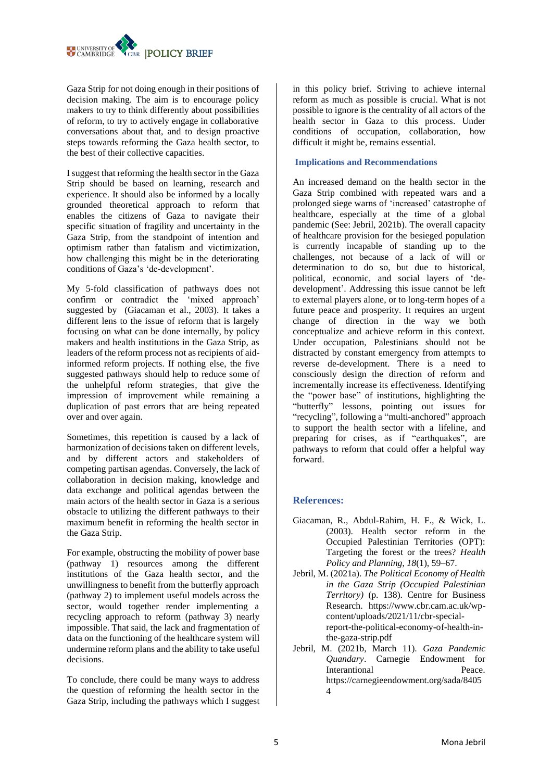Gaza Strip for not doing enough in their positions of decision making. The aim is to encourage policy makers to try to think differently about possibilities of reform, to try to actively engage in collaborative conversations about that, and to design proactive steps towards reforming the Gaza health sector, to the best of their collective capacities.

I suggest that reforming the health sector in the Gaza Strip should be based on learning, research and experience. It should also be informed by a locally grounded theoretical approach to reform that enables the citizens of Gaza to navigate their specific situation of fragility and uncertainty in the Gaza Strip, from the standpoint of intention and optimism rather than fatalism and victimization, how challenging this might be in the deteriorating conditions of Gaza's 'de-development'.

My 5-fold classification of pathways does not confirm or contradict the 'mixed approach' suggested by (Giacaman et al., 2003). It takes a different lens to the issue of reform that is largely focusing on what can be done internally, by policy makers and health institutions in the Gaza Strip, as leaders of the reform process not as recipients of aidinformed reform projects. If nothing else, the five suggested pathways should help to reduce some of the unhelpful reform strategies, that give the impression of improvement while remaining a duplication of past errors that are being repeated over and over again.

Sometimes, this repetition is caused by a lack of harmonization of decisions taken on different levels, and by different actors and stakeholders of competing partisan agendas. Conversely, the lack of collaboration in decision making, knowledge and data exchange and political agendas between the main actors of the health sector in Gaza is a serious obstacle to utilizing the different pathways to their maximum benefit in reforming the health sector in the Gaza Strip.

For example, obstructing the mobility of power base (pathway 1) resources among the different institutions of the Gaza health sector, and the unwillingness to benefit from the butterfly approach (pathway 2) to implement useful models across the sector, would together render implementing a recycling approach to reform (pathway 3) nearly impossible. That said, the lack and fragmentation of data on the functioning of the healthcare system will undermine reform plans and the ability to take useful decisions.

To conclude, there could be many ways to address the question of reforming the health sector in the Gaza Strip, including the pathways which I suggest in this policy brief. Striving to achieve internal reform as much as possible is crucial. What is not possible to ignore is the centrality of all actors of the health sector in Gaza to this process. Under conditions of occupation, collaboration, how difficult it might be, remains essential.

# **Implications and Recommendations**

An increased demand on the health sector in the Gaza Strip combined with repeated wars and a prolonged siege warns of 'increased' catastrophe of healthcare, especially at the time of a global pandemic (See: Jebril, 2021b). The overall capacity of healthcare provision for the besieged population is currently incapable of standing up to the challenges, not because of a lack of will or determination to do so, but due to historical, political, economic, and social layers of 'dedevelopment'. Addressing this issue cannot be left to external players alone, or to long-term hopes of a future peace and prosperity. It requires an urgent change of direction in the way we both conceptualize and achieve reform in this context. Under occupation, Palestinians should not be distracted by constant emergency from attempts to reverse de-development. There is a need to consciously design the direction of reform and incrementally increase its effectiveness. Identifying the "power base" of institutions, highlighting the "butterfly" lessons, pointing out issues for "recycling", following a "multi-anchored" approach to support the health sector with a lifeline, and preparing for crises, as if "earthquakes", are pathways to reform that could offer a helpful way forward.

# **References:**

- Giacaman, R., Abdul-Rahim, H. F., & Wick, L. (2003). Health sector reform in the Occupied Palestinian Territories (OPT): Targeting the forest or the trees? *Health Policy and Planning*, *18*(1), 59–67.
- Jebril, M. (2021a). *The Political Economy of Health in the Gaza Strip (Occupied Palestinian Territory)* (p. 138). Centre for Business Research. https://www.cbr.cam.ac.uk/wpcontent/uploads/2021/11/cbr-specialreport-the-political-economy-of-health-inthe-gaza-strip.pdf
- Jebril, M. (2021b, March 11). *Gaza Pandemic Quandary*. Carnegie Endowment for Interantional Peace. https://carnegieendowment.org/sada/8405 4